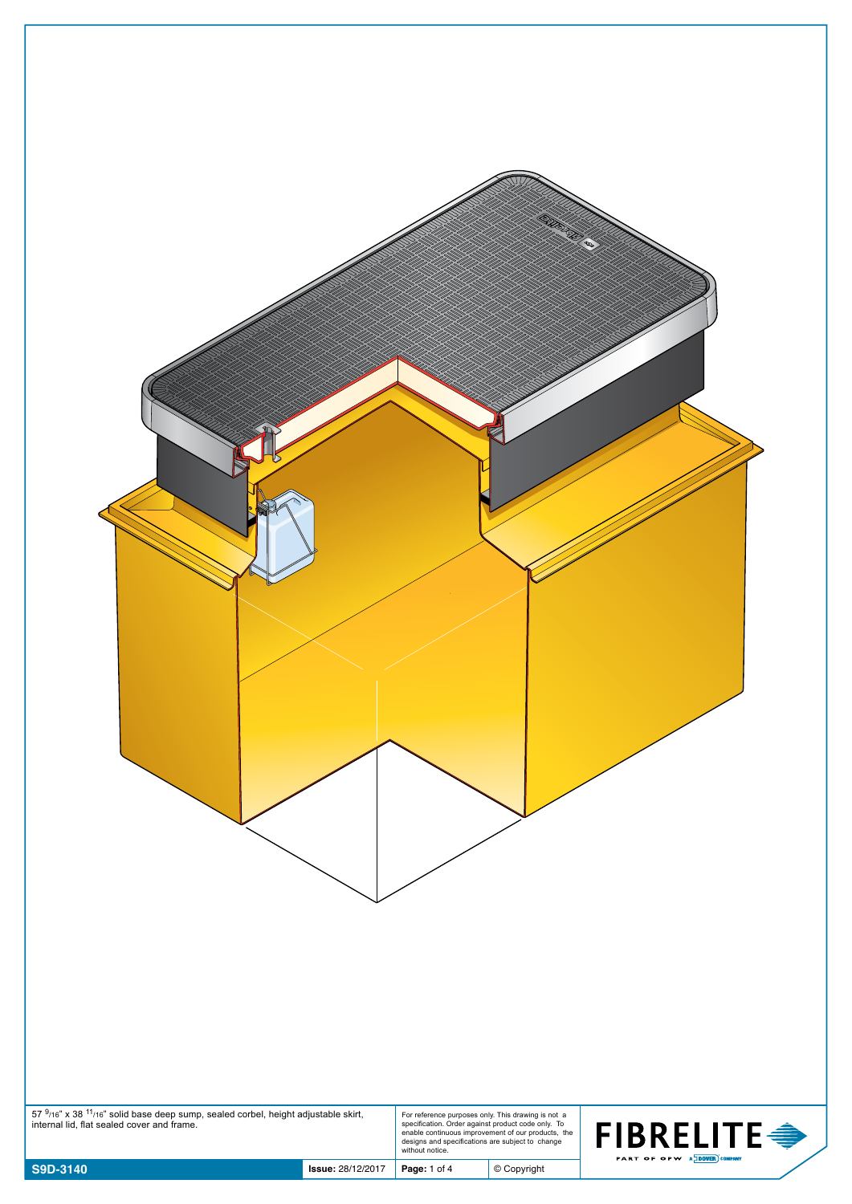| $57\frac{9}{16}$ x 38 $^{11}$ /16" solid base deep sump, sealed corbel, height adjustable skirt, internal lid, flat sealed cover and frame. |                          |              | For reference purposes only. This drawing is not a<br>specification. Order against product code only. To<br>enable continuous improvement of our products, the<br>designs and specifications are subject to change<br>without notice. | <b>FIBRELITE●</b><br>PART OF OPW A DOVER COMPANY |
|---------------------------------------------------------------------------------------------------------------------------------------------|--------------------------|--------------|---------------------------------------------------------------------------------------------------------------------------------------------------------------------------------------------------------------------------------------|--------------------------------------------------|
| S9D-3140                                                                                                                                    | <b>Issue: 28/12/2017</b> | Page: 1 of 4 | $©$ Copyright                                                                                                                                                                                                                         |                                                  |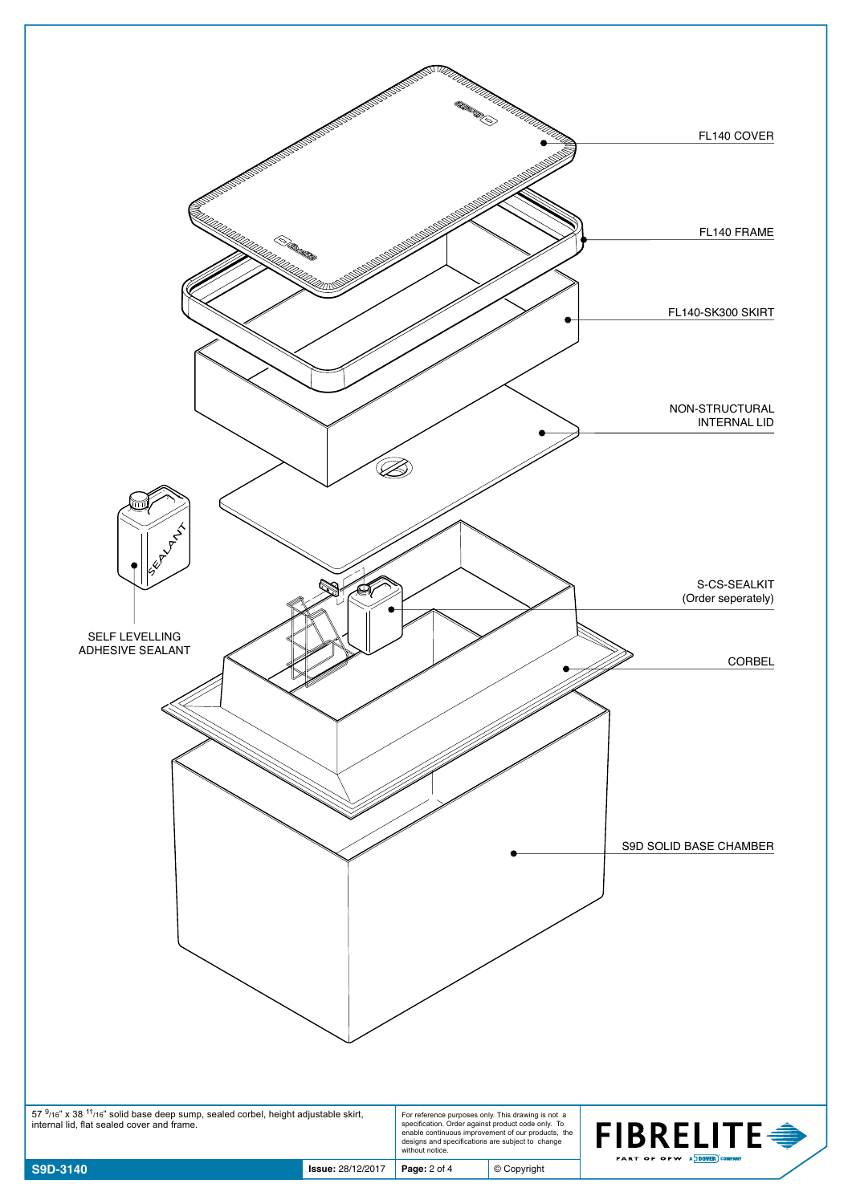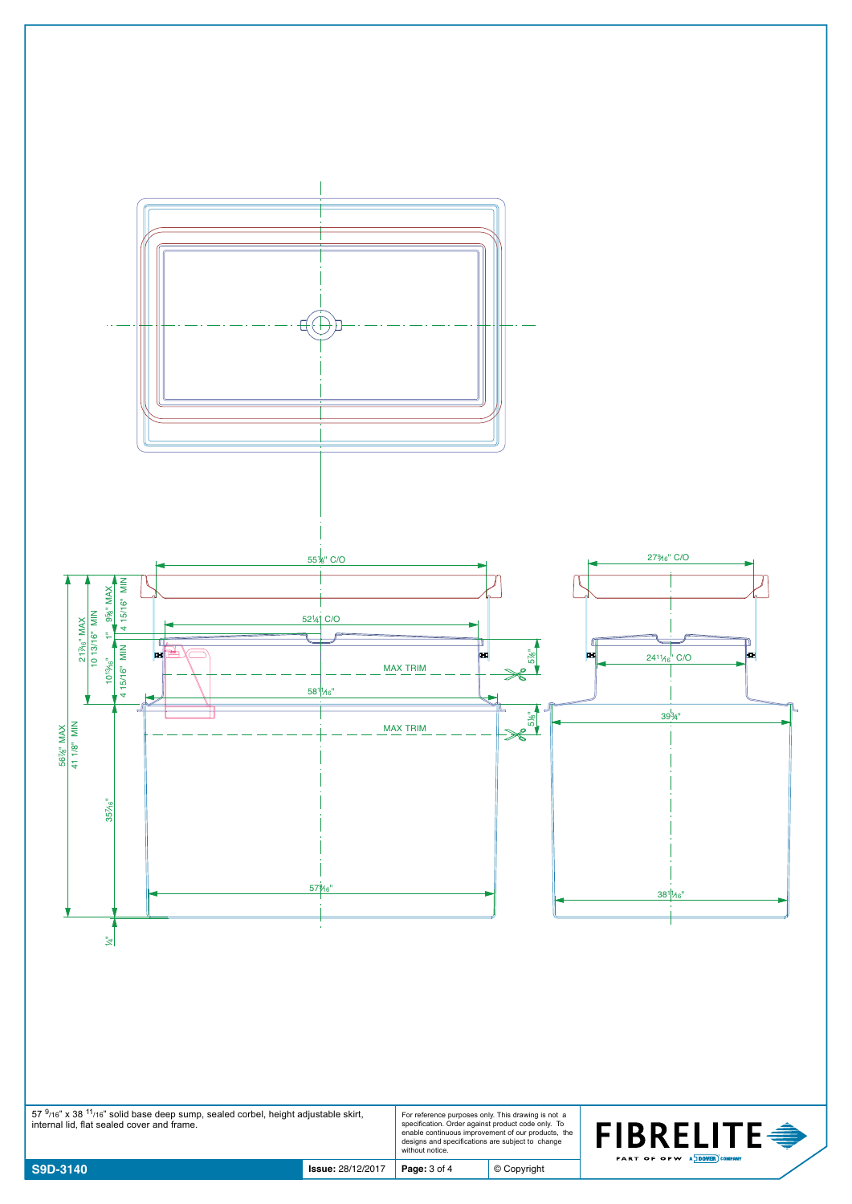